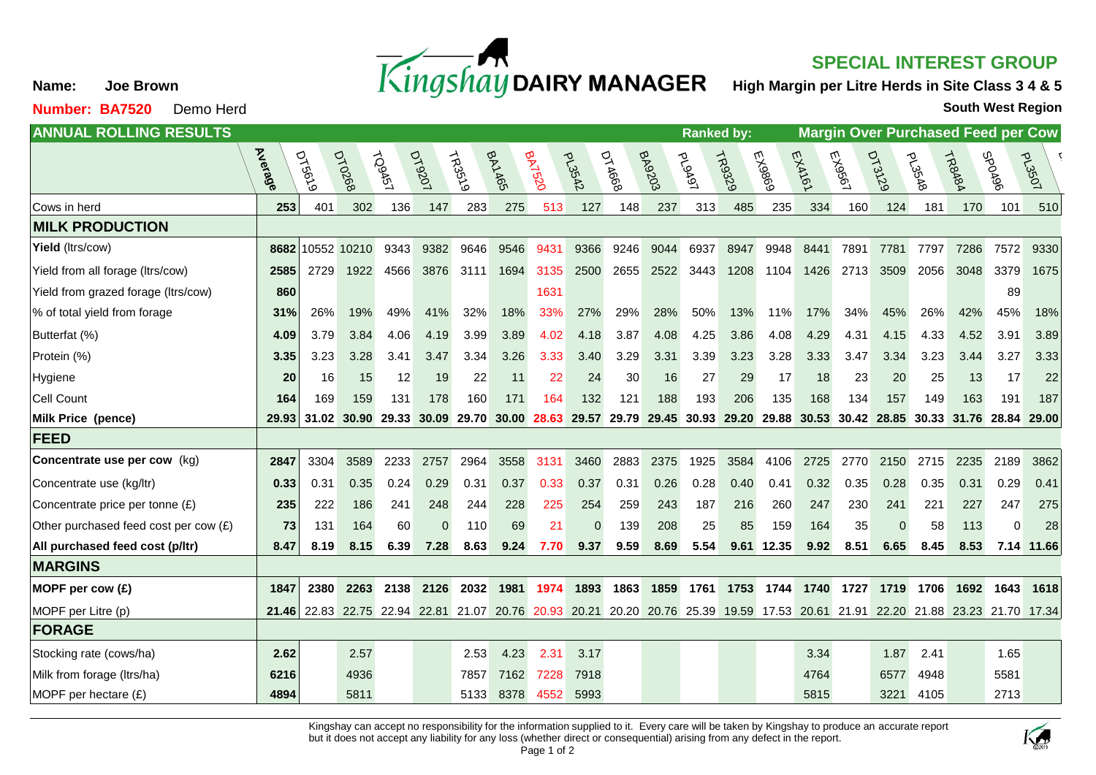

## **SPECIAL INTEREST GROUP**

**High Margin per Litre Herds in Site Class 3 4 & 5**

**South West Region**

| <b>ANNUAL ROLLING RESULTS</b>         | <b>Ranked by:</b> |                          |                         |               |               |               |         |             |               |                                                                         |        |        | <b>Margin Over Purchased Feed per Cow</b> |        |           |        |                |               |                               |          |               |
|---------------------------------------|-------------------|--------------------------|-------------------------|---------------|---------------|---------------|---------|-------------|---------------|-------------------------------------------------------------------------|--------|--------|-------------------------------------------|--------|-----------|--------|----------------|---------------|-------------------------------|----------|---------------|
|                                       | <b>Average</b>    | <b>DT56<sup>19</sup></b> | <b>DT02681</b>          | <b>TOSA51</b> | <b>DY9201</b> | <b>TR3519</b> | BAYA651 | $Bh^{1520}$ | <b>PL3542</b> | DTAG68                                                                  | BA9203 | ploAg1 | <b>ROS229</b>                             | EX9869 | EXAYEY    | EX9561 | <b>DT31291</b> | <b>PL35A8</b> | TRBABA                        | Porods   | <b>POSE7d</b> |
| Cows in herd                          | 253               | 401                      | 302                     | 136           | 147           | 283           | 275     | 513         | 127           | 148                                                                     | 237    | 313    | 485                                       | 235    | 334       | 160    | 124            | 181           | 170                           | 101      | 510           |
| <b>MILK PRODUCTION</b>                |                   |                          |                         |               |               |               |         |             |               |                                                                         |        |        |                                           |        |           |        |                |               |                               |          |               |
| Yield (ltrs/cow)                      | 8682              | 10552                    | 10210                   | 9343          | 9382          | 9646          | 9546    | 9431        | 9366          | 9246                                                                    | 9044   | 6937   | 8947                                      | 9948   | 8441      | 7891   | 7781           | 7797          | 7286                          | 7572     | 9330          |
| Yield from all forage (Itrs/cow)      | 2585              | 2729                     | 1922                    | 4566          | 3876          | 3111          | 1694    | 3135        | 2500          | 2655                                                                    | 2522   | 3443   | 1208                                      | 1104   | 1426      | 2713   | 3509           | 2056          | 3048                          | 3379     | 1675          |
| Yield from grazed forage (Itrs/cow)   | 860               |                          |                         |               |               |               |         | 1631        |               |                                                                         |        |        |                                           |        |           |        |                |               |                               | 89       |               |
| % of total yield from forage          | 31%               | 26%                      | 19%                     | 49%           | 41%           | 32%           | 18%     | 33%         | 27%           | 29%                                                                     | 28%    | 50%    | 13%                                       | 11%    | 17%       | 34%    | 45%            | 26%           | 42%                           | 45%      | 18%           |
| Butterfat (%)                         | 4.09              | 3.79                     | 3.84                    | 4.06          | 4.19          | 3.99          | 3.89    | 4.02        | 4.18          | 3.87                                                                    | 4.08   | 4.25   | 3.86                                      | 4.08   | 4.29      | 4.31   | 4.15           | 4.33          | 4.52                          | 3.91     | 3.89          |
| Protein (%)                           | 3.35              | 3.23                     | 3.28                    | 3.41          | 3.47          | 3.34          | 3.26    | 3.33        | 3.40          | 3.29                                                                    | 3.31   | 3.39   | 3.23                                      | 3.28   | 3.33      | 3.47   | 3.34           | 3.23          | 3.44                          | 3.27     | 3.33          |
| Hygiene                               | 20                | 16                       | 15                      | 12            | 19            | 22            | 11      | 22          | 24            | 30                                                                      | 16     | 27     | 29                                        | 17     | 18        | 23     | 20             | 25            | 13                            | 17       | 22            |
| Cell Count                            | 164               | 169                      | 159                     | 131           | 178           | 160           | 171     | 164         | 132           | 121                                                                     | 188    | 193    | 206                                       | 135    | 168       | 134    | 157            | 149           | 163                           | 191      | 187           |
| Milk Price (pence)                    | 29.93             | 31.02                    | 30.90                   | 29.33         | 30.09         | 29.70         | 30.00   | 28.63       | 29.57         | 29.79                                                                   | 29.45  | 30.93  | 29.20                                     | 29.88  | 30.53     | 30.42  | 28.85          | 30.33         | 31.76                         | 28.84    | 29.00         |
| <b>FEED</b>                           |                   |                          |                         |               |               |               |         |             |               |                                                                         |        |        |                                           |        |           |        |                |               |                               |          |               |
| Concentrate use per cow (kg)          | 2847              | 3304                     | 3589                    | 2233          | 2757          | 2964          | 3558    | 3131        | 3460          | 2883                                                                    | 2375   | 1925   | 3584                                      | 4106   | 2725      | 2770   | 2150           | 2715          | 2235                          | 2189     | 3862          |
| Concentrate use (kg/ltr)              | 0.33              | 0.31                     | 0.35                    | 0.24          | 0.29          | 0.31          | 0.37    | 0.33        | 0.37          | 0.31                                                                    | 0.26   | 0.28   | 0.40                                      | 0.41   | 0.32      | 0.35   | 0.28           | 0.35          | 0.31                          | 0.29     | 0.41          |
| Concentrate price per tonne (£)       | 235               | 222                      | 186                     | 241           | 248           | 244           | 228     | 225         | 254           | 259                                                                     | 243    | 187    | 216                                       | 260    | 247       | 230    | 241            | 221           | 227                           | 247      | 275           |
| Other purchased feed cost per cow (£) | 73                | 131                      | 164                     | 60            | $\Omega$      | 110           | 69      | 21          | $\Omega$      | 139                                                                     | 208    | 25     | 85                                        | 159    | 164       | 35     | $\Omega$       | 58            | 113                           | $\Omega$ | 28            |
| All purchased feed cost (p/ltr)       | 8.47              | 8.19                     | 8.15                    | 6.39          | 7.28          | 8.63          | 9.24    | 7.70        | 9.37          | 9.59                                                                    | 8.69   | 5.54   | 9.61                                      | 12.35  | 9.92      | 8.51   | 6.65           | 8.45          | 8.53                          | 7.14     | 11.66         |
| <b>MARGINS</b>                        |                   |                          |                         |               |               |               |         |             |               |                                                                         |        |        |                                           |        |           |        |                |               |                               |          |               |
| MOPF per cow (£)                      | 1847              | 2380                     | 2263                    | 2138          | 2126          | 2032          | 1981    | 1974        | 1893          | 1863                                                                    | 1859   | 1761   | 1753                                      |        | 1744 1740 | 1727   | 1719           | 1706          | 1692                          | 1643     | 1618          |
| MOPF per Litre (p)                    |                   |                          | 21.46 22.83 22.75 22.94 |               |               |               |         |             |               | 22.81 21.07 20.76 20.93 20.21 20.20 20.76 25.39 19.59 17.53 20.61 21.91 |        |        |                                           |        |           |        |                |               | 22.20 21.88 23.23 21.70 17.34 |          |               |
| <b>FORAGE</b>                         |                   |                          |                         |               |               |               |         |             |               |                                                                         |        |        |                                           |        |           |        |                |               |                               |          |               |
| Stocking rate (cows/ha)               | 2.62              |                          | 2.57                    |               |               | 2.53          | 4.23    | 2.31        | 3.17          |                                                                         |        |        |                                           |        | 3.34      |        | 1.87           | 2.41          |                               | 1.65     |               |
| Milk from forage (Itrs/ha)            | 6216              |                          | 4936                    |               |               | 7857          | 7162    | 7228        | 7918          |                                                                         |        |        |                                           |        | 4764      |        | 6577           | 4948          |                               | 5581     |               |
| MOPF per hectare (£)                  | 4894              |                          | 5811                    |               |               | 5133          | 8378    | 4552        | 5993          |                                                                         |        |        |                                           |        | 5815      |        | 3221           | 4105          |                               | 2713     |               |

Kingshay can accept no responsibility for the information supplied to it. Every care will be taken by Kingshay to produce an accurate report but it does not accept any liability for any loss (whether direct or consequential) arising from any defect in the report.



**Name: Joe Brown**

**Number: BA7520** Demo Herd